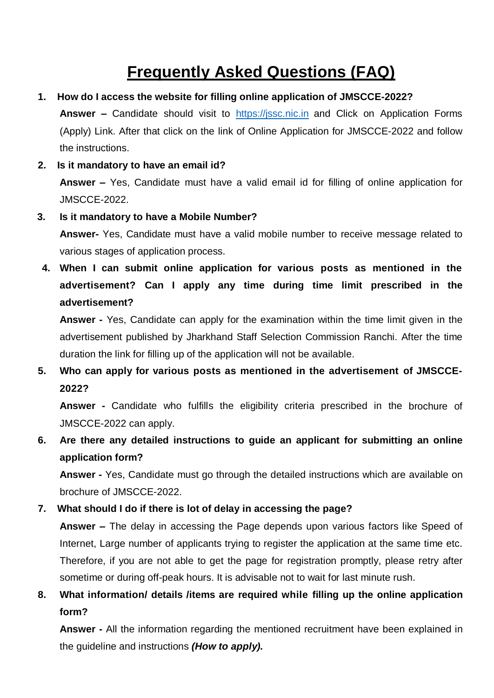# **Frequently Asked Questions (FAQ)**

- **1. How do I access the website for filling online application of JMSCCE-2022? Answer –** Candidate should visit to [https://jssc.nic.in](https://jssc.nic.in/) and Click on Application Forms (Apply) Link. After that click on the link of Online Application for JMSCCE-2022 and follow the instructions.
- **2. Is it mandatory to have an email id? Answer –** Yes, Candidate must have a valid email id for filling of online application for JMSCCE-2022.
- **3. Is it mandatory to have a Mobile Number?**

**Answer-** Yes, Candidate must have a valid mobile number to receive message related to various stages of application process.

**4. When I can submit online application for various posts as mentioned in the advertisement? Can I apply any time during time limit prescribed in the advertisement?**

**Answer -** Yes, Candidate can apply for the examination within the time limit given in the advertisement published by Jharkhand Staff Selection Commission Ranchi. After the time duration the link for filling up of the application will not be available.

**5. Who can apply for various posts as mentioned in the advertisement of JMSCCE-2022?**

**Answer -** Candidate who fulfills the eligibility criteria prescribed in the brochure of JMSCCE-2022 can apply.

**6. Are there any detailed instructions to guide an applicant for submitting an online application form?**

**Answer -** Yes, Candidate must go through the detailed instructions which are available on brochure of JMSCCE-2022.

**7. What should I do if there is lot of delay in accessing the page?**

**Answer –** The delay in accessing the Page depends upon various factors like Speed of Internet, Large number of applicants trying to register the application at the same time etc. Therefore, if you are not able to get the page for registration promptly, please retry after sometime or during off-peak hours. It is advisable not to wait for last minute rush.

**8. What information/ details /items are required while filling up the online application form?**

**Answer -** All the information regarding the mentioned recruitment have been explained in the guideline and instructions *(How to apply).*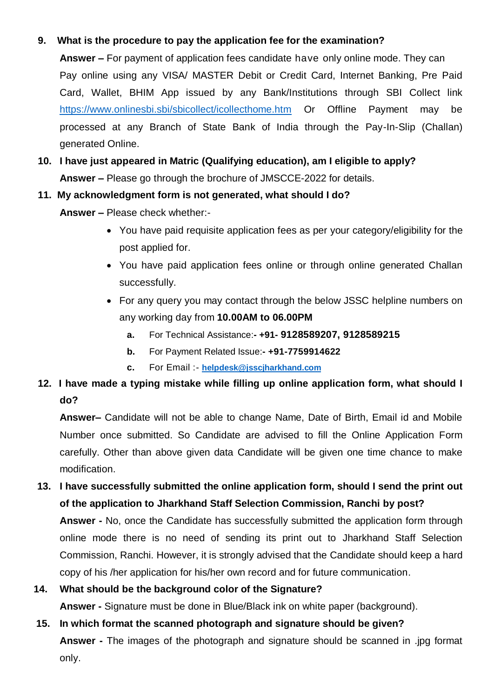#### **9. What is the procedure to pay the application fee for the examination?**

**Answer –** For payment of application fees candidate have only online mode. They can Pay online using any VISA/ MASTER Debit or Credit Card, Internet Banking, Pre Paid Card, Wallet, BHIM App issued by any Bank/Institutions through SBI Collect link <https://www.onlinesbi.sbi/sbicollect/icollecthome.htm> Or Offline Payment may be processed at any Branch of State Bank of India through the Pay-In-Slip (Challan) generated Online.

**10. I have just appeared in Matric (Qualifying education), am I eligible to apply? Answer –** Please go through the brochure of JMSCCE-2022 for details.

#### **11. My acknowledgment form is not generated, what should I do?**

**Answer –** Please check whether:-

- You have paid requisite application fees as per your category/eligibility for the post applied for.
- You have paid application fees online or through online generated Challan successfully.
- For any query you may contact through the below JSSC helpline numbers on any working day from **10.00AM to 06.00PM**
	- **a.** For Technical Assistance:**- +91- 9128589207, 9128589215**
	- **b.** For Payment Related Issue:**- +91-7759914622**
	- **c.** For Email :- **[helpdesk@jsscjharkhand.com](mailto:helpdesk@jsscjharkhand.com)**
- **12. I have made a typing mistake while filling up online application form, what should I do?**

**Answer–** Candidate will not be able to change Name, Date of Birth, Email id and Mobile Number once submitted. So Candidate are advised to fill the Online Application Form carefully. Other than above given data Candidate will be given one time chance to make modification.

**13. I have successfully submitted the online application form, should I send the print out of the application to Jharkhand Staff Selection Commission, Ranchi by post? Answer -** No, once the Candidate has successfully submitted the application form through online mode there is no need of sending its print out to Jharkhand Staff Selection Commission, Ranchi. However, it is strongly advised that the Candidate should keep a hard copy of his /her application for his/her own record and for future communication.

## **14. What should be the background color of the Signature?**

**Answer -** Signature must be done in Blue/Black ink on white paper (background).

### **15. In which format the scanned photograph and signature should be given? Answer -** The images of the photograph and signature should be scanned in .jpg format only.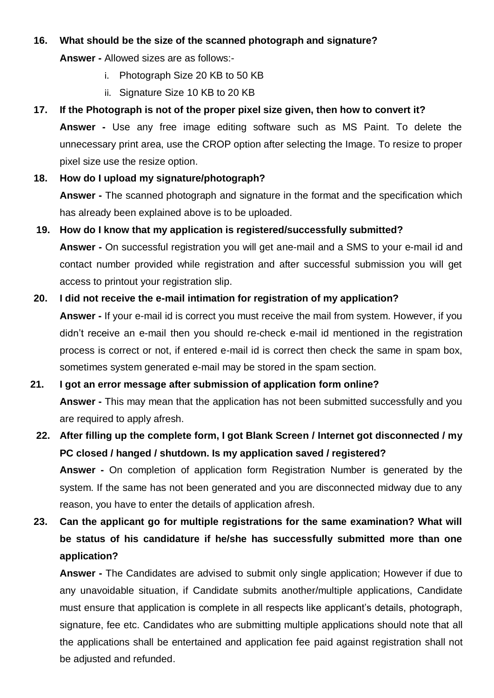#### **16. What should be the size of the scanned photograph and signature?**

**Answer -** Allowed sizes are as follows:-

- i. Photograph Size 20 KB to 50 KB
- ii. Signature Size 10 KB to 20 KB

#### **17. If the Photograph is not of the proper pixel size given, then how to convert it?**

**Answer -** Use any free image editing software such as MS Paint. To delete the unnecessary print area, use the CROP option after selecting the Image. To resize to proper pixel size use the resize option.

#### **18. How do I upload my signature/photograph?**

**Answer -** The scanned photograph and signature in the format and the specification which has already been explained above is to be uploaded.

#### **19. How do I know that my application is registered/successfully submitted?**

**Answer -** On successful registration you will get ane-mail and a SMS to your e-mail id and contact number provided while registration and after successful submission you will get access to printout your registration slip.

#### **20. I did not receive the e-mail intimation for registration of my application?**

**Answer -** If your e-mail id is correct you must receive the mail from system. However, if you didn't receive an e-mail then you should re-check e-mail id mentioned in the registration process is correct or not, if entered e-mail id is correct then check the same in spam box, sometimes system generated e-mail may be stored in the spam section.

#### **21. I got an error message after submission of application form online?**

**Answer -** This may mean that the application has not been submitted successfully and you are required to apply afresh.

### **22. After filling up the complete form, I got Blank Screen / Internet got disconnected / my PC closed / hanged / shutdown. Is my application saved / registered?**

**Answer -** On completion of application form Registration Number is generated by the system. If the same has not been generated and you are disconnected midway due to any reason, you have to enter the details of application afresh.

### **23. Can the applicant go for multiple registrations for the same examination? What will be status of his candidature if he/she has successfully submitted more than one application?**

**Answer -** The Candidates are advised to submit only single application; However if due to any unavoidable situation, if Candidate submits another/multiple applications, Candidate must ensure that application is complete in all respects like applicant's details, photograph, signature, fee etc. Candidates who are submitting multiple applications should note that all the applications shall be entertained and application fee paid against registration shall not be adjusted and refunded.